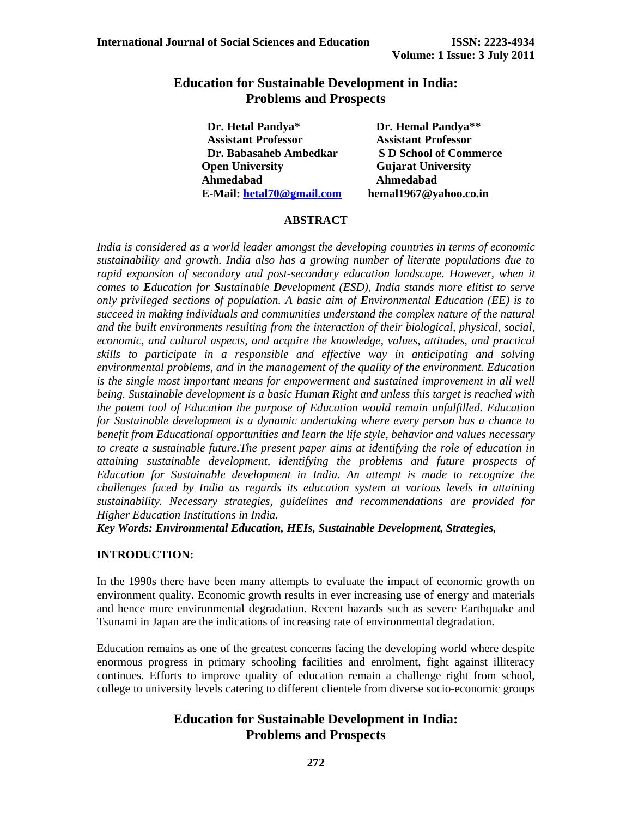## **Education for Sustainable Development in India: Problems and Prospects**

| Dr. Hetal Pandya*          | Dr. Hemal Pandya**            |
|----------------------------|-------------------------------|
| <b>Assistant Professor</b> | <b>Assistant Professor</b>    |
| Dr. Babasaheb Ambedkar     | <b>S D School of Commerce</b> |
| <b>Open University</b>     | <b>Gujarat University</b>     |
| Ahmedabad                  | Ahmedabad                     |
| E-Mail: hetal70@gmail.com  | hemal1967@yahoo.co.in         |

#### **ABSTRACT**

*India is considered as a world leader amongst the developing countries in terms of economic sustainability and growth. India also has a growing number of literate populations due to*  rapid expansion of secondary and post-secondary education landscape. However, when it *comes to Education for Sustainable Development (ESD), India stands more elitist to serve only privileged sections of population. A basic aim of Environmental Education (EE) is to succeed in making individuals and communities understand the complex nature of the natural and the built environments resulting from the interaction of their biological, physical, social, economic, and cultural aspects, and acquire the knowledge, values, attitudes, and practical skills to participate in a responsible and effective way in anticipating and solving environmental problems, and in the management of the quality of the environment. Education is the single most important means for empowerment and sustained improvement in all well being. Sustainable development is a basic Human Right and unless this target is reached with the potent tool of Education the purpose of Education would remain unfulfilled. Education for Sustainable development is a dynamic undertaking where every person has a chance to benefit from Educational opportunities and learn the life style, behavior and values necessary to create a sustainable future.The present paper aims at identifying the role of education in attaining sustainable development, identifying the problems and future prospects of Education for Sustainable development in India. An attempt is made to recognize the challenges faced by India as regards its education system at various levels in attaining sustainability. Necessary strategies, guidelines and recommendations are provided for Higher Education Institutions in India.* 

*Key Words: Environmental Education, HEIs, Sustainable Development, Strategies,* 

#### **INTRODUCTION:**

In the 1990s there have been many attempts to evaluate the impact of economic growth on environment quality. Economic growth results in ever increasing use of energy and materials and hence more environmental degradation. Recent hazards such as severe Earthquake and Tsunami in Japan are the indications of increasing rate of environmental degradation.

Education remains as one of the greatest concerns facing the developing world where despite enormous progress in primary schooling facilities and enrolment, fight against illiteracy continues. Efforts to improve quality of education remain a challenge right from school, college to university levels catering to different clientele from diverse socio-economic groups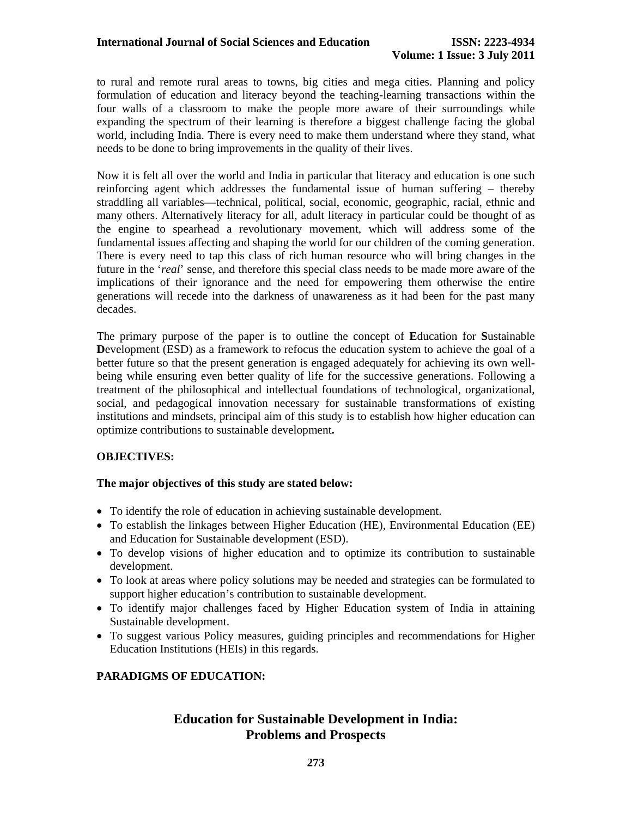to rural and remote rural areas to towns, big cities and mega cities. Planning and policy formulation of education and literacy beyond the teaching-learning transactions within the four walls of a classroom to make the people more aware of their surroundings while expanding the spectrum of their learning is therefore a biggest challenge facing the global world, including India. There is every need to make them understand where they stand, what needs to be done to bring improvements in the quality of their lives.

Now it is felt all over the world and India in particular that literacy and education is one such reinforcing agent which addresses the fundamental issue of human suffering – thereby straddling all variables—technical, political, social, economic, geographic, racial, ethnic and many others. Alternatively literacy for all, adult literacy in particular could be thought of as the engine to spearhead a revolutionary movement, which will address some of the fundamental issues affecting and shaping the world for our children of the coming generation. There is every need to tap this class of rich human resource who will bring changes in the future in the '*real*' sense, and therefore this special class needs to be made more aware of the implications of their ignorance and the need for empowering them otherwise the entire generations will recede into the darkness of unawareness as it had been for the past many decades.

The primary purpose of the paper is to outline the concept of **E**ducation for **S**ustainable **D**evelopment (ESD) as a framework to refocus the education system to achieve the goal of a better future so that the present generation is engaged adequately for achieving its own wellbeing while ensuring even better quality of life for the successive generations. Following a treatment of the philosophical and intellectual foundations of technological, organizational, social, and pedagogical innovation necessary for sustainable transformations of existing institutions and mindsets, principal aim of this study is to establish how higher education can optimize contributions to sustainable development**.** 

### **OBJECTIVES:**

#### **The major objectives of this study are stated below:**

- To identify the role of education in achieving sustainable development.
- To establish the linkages between Higher Education (HE), Environmental Education (EE) and Education for Sustainable development (ESD).
- To develop visions of higher education and to optimize its contribution to sustainable development.
- To look at areas where policy solutions may be needed and strategies can be formulated to support higher education's contribution to sustainable development.
- To identify major challenges faced by Higher Education system of India in attaining Sustainable development.
- To suggest various Policy measures, guiding principles and recommendations for Higher Education Institutions (HEIs) in this regards.

### **PARADIGMS OF EDUCATION:**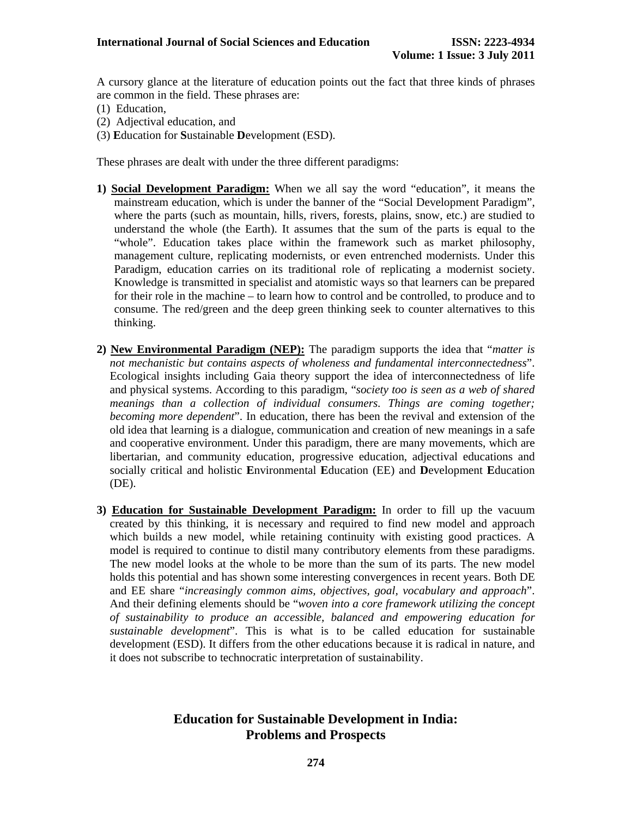A cursory glance at the literature of education points out the fact that three kinds of phrases are common in the field. These phrases are:

- (1) Education,
- (2) Adjectival education, and
- (3) **E**ducation for **S**ustainable **D**evelopment (ESD).

These phrases are dealt with under the three different paradigms:

- **1) Social Development Paradigm:** When we all say the word "education", it means the mainstream education, which is under the banner of the "Social Development Paradigm", where the parts (such as mountain, hills, rivers, forests, plains, snow, etc.) are studied to understand the whole (the Earth). It assumes that the sum of the parts is equal to the "whole". Education takes place within the framework such as market philosophy, management culture, replicating modernists, or even entrenched modernists. Under this Paradigm, education carries on its traditional role of replicating a modernist society. Knowledge is transmitted in specialist and atomistic ways so that learners can be prepared for their role in the machine – to learn how to control and be controlled, to produce and to consume. The red/green and the deep green thinking seek to counter alternatives to this thinking.
- **2) New Environmental Paradigm (NEP):** The paradigm supports the idea that "*matter is not mechanistic but contains aspects of wholeness and fundamental interconnectedness*". Ecological insights including Gaia theory support the idea of interconnectedness of life and physical systems. According to this paradigm, "*society too is seen as a web of shared meanings than a collection of individual consumers. Things are coming together; becoming more dependent*". In education, there has been the revival and extension of the old idea that learning is a dialogue, communication and creation of new meanings in a safe and cooperative environment. Under this paradigm, there are many movements, which are libertarian, and community education, progressive education, adjectival educations and socially critical and holistic **E**nvironmental **E**ducation (EE) and **D**evelopment **E**ducation (DE).
- **3) Education for Sustainable Development Paradigm:** In order to fill up the vacuum created by this thinking, it is necessary and required to find new model and approach which builds a new model, while retaining continuity with existing good practices. A model is required to continue to distil many contributory elements from these paradigms. The new model looks at the whole to be more than the sum of its parts. The new model holds this potential and has shown some interesting convergences in recent years. Both DE and EE share "*increasingly common aims, objectives, goal, vocabulary and approach*". And their defining elements should be "*woven into a core framework utilizing the concept of sustainability to produce an accessible, balanced and empowering education for sustainable development*". This is what is to be called education for sustainable development (ESD). It differs from the other educations because it is radical in nature, and it does not subscribe to technocratic interpretation of sustainability.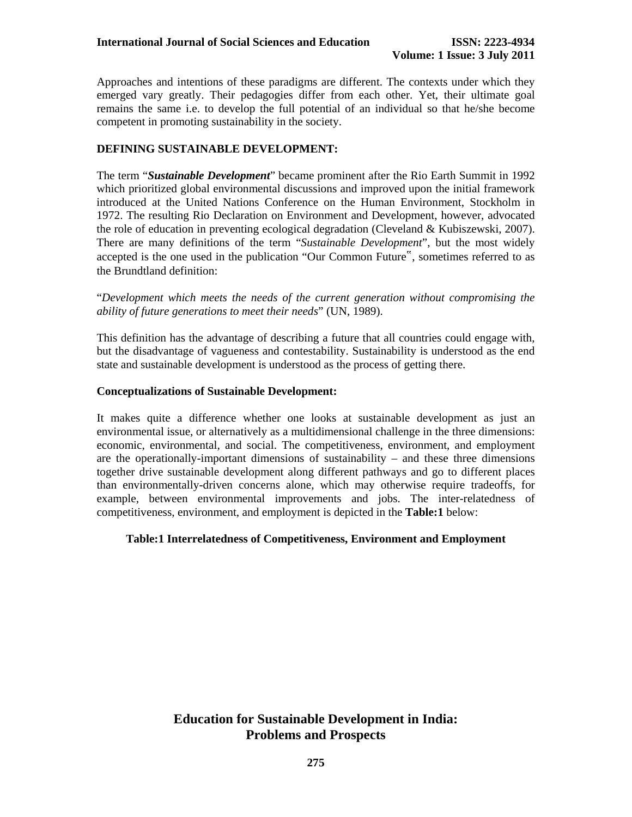Approaches and intentions of these paradigms are different. The contexts under which they emerged vary greatly. Their pedagogies differ from each other. Yet, their ultimate goal remains the same i.e. to develop the full potential of an individual so that he/she become competent in promoting sustainability in the society.

### **DEFINING SUSTAINABLE DEVELOPMENT:**

The term "*Sustainable Development*" became prominent after the Rio Earth Summit in 1992 which prioritized global environmental discussions and improved upon the initial framework introduced at the United Nations Conference on the Human Environment, Stockholm in 1972. The resulting Rio Declaration on Environment and Development, however, advocated the role of education in preventing ecological degradation (Cleveland & Kubiszewski, 2007). There are many definitions of the term "*Sustainable Development*", but the most widely accepted is the one used in the publication "Our Common Future", sometimes referred to as the Brundtland definition:

"*Development which meets the needs of the current generation without compromising the ability of future generations to meet their needs*" (UN, 1989).

This definition has the advantage of describing a future that all countries could engage with, but the disadvantage of vagueness and contestability. Sustainability is understood as the end state and sustainable development is understood as the process of getting there.

#### **Conceptualizations of Sustainable Development:**

It makes quite a difference whether one looks at sustainable development as just an environmental issue, or alternatively as a multidimensional challenge in the three dimensions: economic, environmental, and social. The competitiveness, environment, and employment are the operationally-important dimensions of sustainability – and these three dimensions together drive sustainable development along different pathways and go to different places than environmentally-driven concerns alone, which may otherwise require tradeoffs, for example, between environmental improvements and jobs. The inter-relatedness of competitiveness, environment, and employment is depicted in the **Table:1** below:

#### **Table:1 Interrelatedness of Competitiveness, Environment and Employment**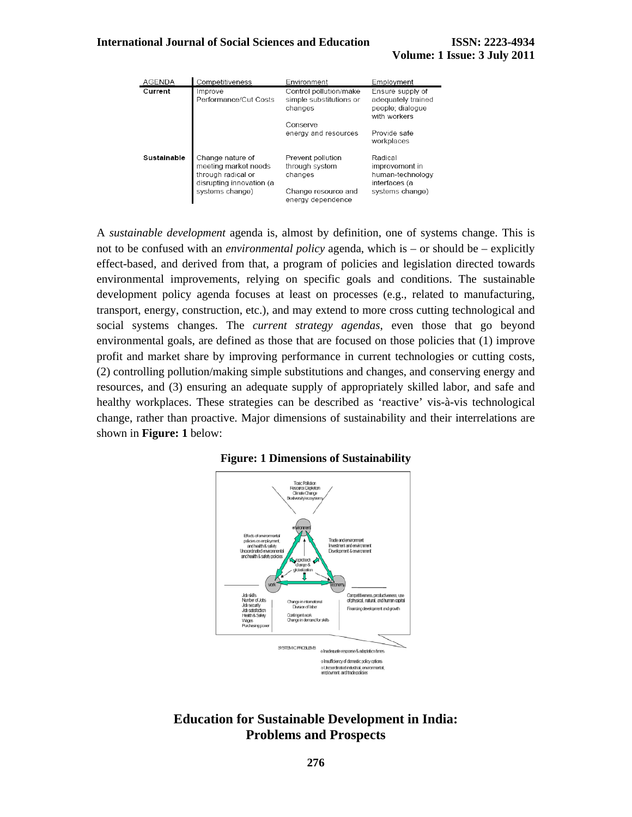#### **International Journal of Social Sciences and Education ISSN: 2223-4934**

| <b>AGENDA</b> | Competitiveness                                                                                               | Environment                                                                                | Employment                                                                        |
|---------------|---------------------------------------------------------------------------------------------------------------|--------------------------------------------------------------------------------------------|-----------------------------------------------------------------------------------|
| Current       | Improve<br>Performance/Cut Costs                                                                              | Control pollution/make<br>simple substitutions or<br>changes                               | Ensure supply of<br>adequately trained<br>people; dialogue<br>with workers        |
|               |                                                                                                               | Conserve<br>energy and resources                                                           | Provide safe<br>workplaces                                                        |
| Sustainable   | Change nature of<br>meeting market needs<br>through radical or<br>disrupting innovation (a<br>systems change) | Prevent pollution<br>through system<br>changes<br>Change resource and<br>energy dependence | Radical<br>improvement in<br>human-technology<br>interfaces (a<br>systems change) |

A *sustainable development* agenda is, almost by definition, one of systems change. This is not to be confused with an *environmental policy* agenda, which is – or should be – explicitly effect-based, and derived from that, a program of policies and legislation directed towards environmental improvements, relying on specific goals and conditions. The sustainable development policy agenda focuses at least on processes (e.g., related to manufacturing, transport, energy, construction, etc.), and may extend to more cross cutting technological and social systems changes. The *current strategy agendas*, even those that go beyond environmental goals, are defined as those that are focused on those policies that (1) improve profit and market share by improving performance in current technologies or cutting costs, (2) controlling pollution/making simple substitutions and changes, and conserving energy and resources, and (3) ensuring an adequate supply of appropriately skilled labor, and safe and healthy workplaces. These strategies can be described as 'reactive' vis-à-vis technological change, rather than proactive. Major dimensions of sustainability and their interrelations are shown in **Figure: 1** below:



#### **Figure: 1 Dimensions of Sustainability**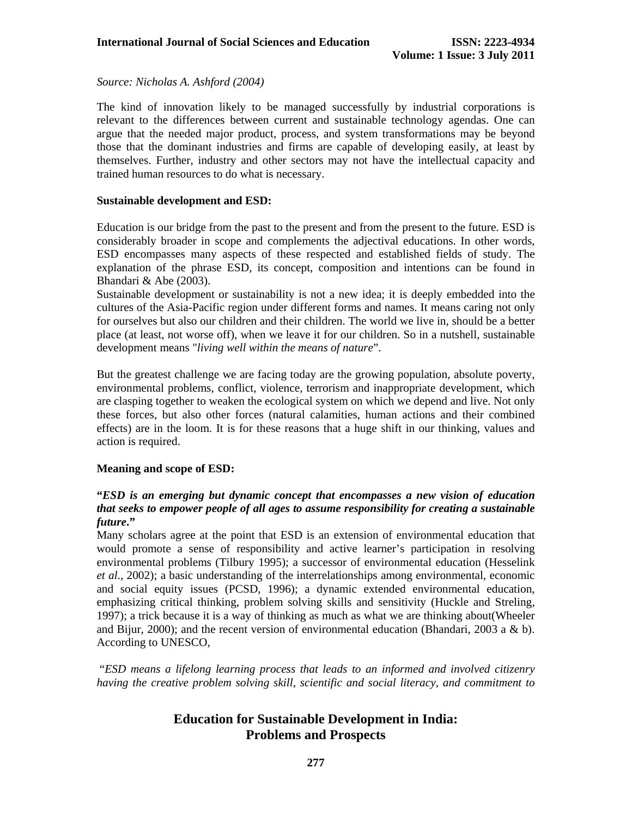*Source: Nicholas A. Ashford (2004)* 

The kind of innovation likely to be managed successfully by industrial corporations is relevant to the differences between current and sustainable technology agendas. One can argue that the needed major product, process, and system transformations may be beyond those that the dominant industries and firms are capable of developing easily, at least by themselves. Further, industry and other sectors may not have the intellectual capacity and trained human resources to do what is necessary.

#### **Sustainable development and ESD:**

Education is our bridge from the past to the present and from the present to the future. ESD is considerably broader in scope and complements the adjectival educations. In other words, ESD encompasses many aspects of these respected and established fields of study. The explanation of the phrase ESD, its concept, composition and intentions can be found in Bhandari & Abe (2003).

Sustainable development or sustainability is not a new idea; it is deeply embedded into the cultures of the Asia-Pacific region under different forms and names. It means caring not only for ourselves but also our children and their children. The world we live in, should be a better place (at least, not worse off), when we leave it for our children. So in a nutshell, sustainable development means "*living well within the means of nature*".

But the greatest challenge we are facing today are the growing population, absolute poverty, environmental problems, conflict, violence, terrorism and inappropriate development, which are clasping together to weaken the ecological system on which we depend and live. Not only these forces, but also other forces (natural calamities, human actions and their combined effects) are in the loom. It is for these reasons that a huge shift in our thinking, values and action is required.

### **Meaning and scope of ESD:**

### **"***ESD is an emerging but dynamic concept that encompasses a new vision of education that seeks to empower people of all ages to assume responsibility for creating a sustainable future***."**

Many scholars agree at the point that ESD is an extension of environmental education that would promote a sense of responsibility and active learner's participation in resolving environmental problems (Tilbury 1995); a successor of environmental education (Hesselink *et al*., 2002); a basic understanding of the interrelationships among environmental, economic and social equity issues (PCSD, 1996); a dynamic extended environmental education, emphasizing critical thinking, problem solving skills and sensitivity (Huckle and Streling, 1997); a trick because it is a way of thinking as much as what we are thinking about(Wheeler and Bijur, 2000); and the recent version of environmental education (Bhandari, 2003 a & b). According to UNESCO,

 "*ESD means a lifelong learning process that leads to an informed and involved citizenry having the creative problem solving skill, scientific and social literacy, and commitment to*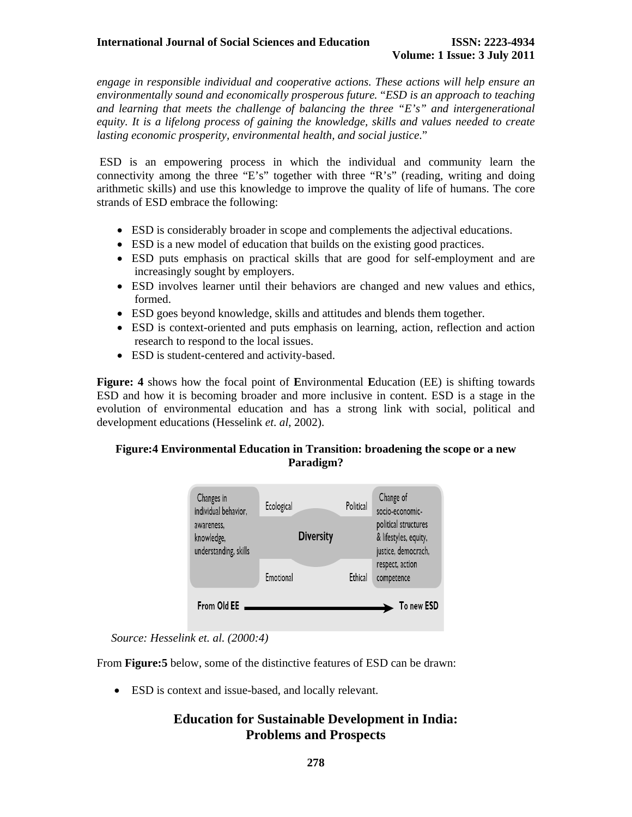*engage in responsible individual and cooperative actions. These actions will help ensure an environmentally sound and economically prosperous future.* "*ESD is an approach to teaching and learning that meets the challenge of balancing the three "E's" and intergenerational equity. It is a lifelong process of gaining the knowledge, skills and values needed to create lasting economic prosperity, environmental health, and social justice*."

 ESD is an empowering process in which the individual and community learn the connectivity among the three "E's" together with three "R's" (reading, writing and doing arithmetic skills) and use this knowledge to improve the quality of life of humans. The core strands of ESD embrace the following:

- ESD is considerably broader in scope and complements the adjectival educations.
- ESD is a new model of education that builds on the existing good practices.
- ESD puts emphasis on practical skills that are good for self-employment and are increasingly sought by employers.
- ESD involves learner until their behaviors are changed and new values and ethics, formed.
- ESD goes beyond knowledge, skills and attitudes and blends them together.
- ESD is context-oriented and puts emphasis on learning, action, reflection and action research to respond to the local issues.
- ESD is student-centered and activity-based.

**Figure: 4** shows how the focal point of **E**nvironmental **E**ducation (EE) is shifting towards ESD and how it is becoming broader and more inclusive in content. ESD is a stage in the evolution of environmental education and has a strong link with social, political and development educations (Hesselink *et*. *al*, 2002).

### **Figure:4 Environmental Education in Transition: broadening the scope or a new Paradigm?**



*Source: Hesselink et. al. (2000:4)* 

From **Figure:5** below, some of the distinctive features of ESD can be drawn:

• ESD is context and issue-based, and locally relevant.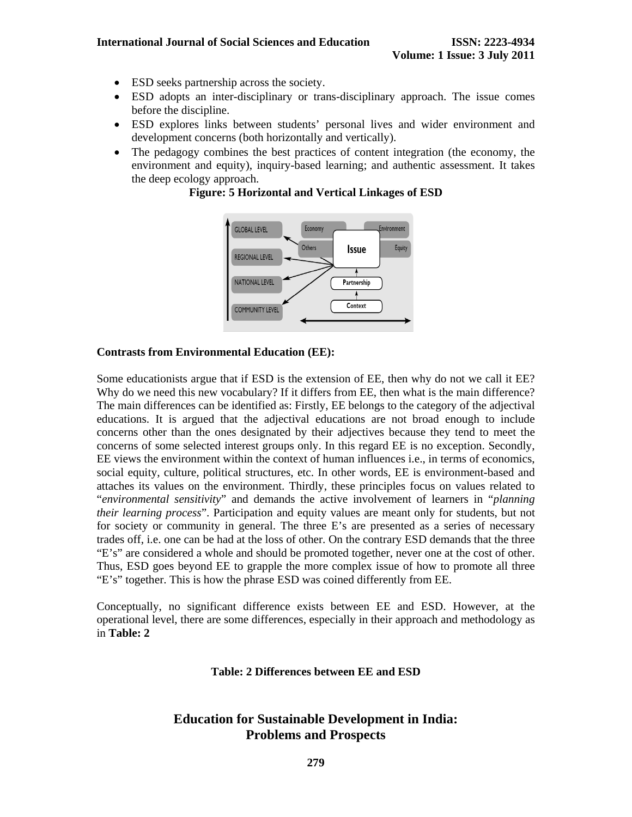- ESD seeks partnership across the society.
- ESD adopts an inter-disciplinary or trans-disciplinary approach. The issue comes before the discipline.
- ESD explores links between students' personal lives and wider environment and development concerns (both horizontally and vertically).
- The pedagogy combines the best practices of content integration (the economy, the environment and equity), inquiry-based learning; and authentic assessment. It takes the deep ecology approach.

**Figure: 5 Horizontal and Vertical Linkages of ESD** 



#### **Contrasts from Environmental Education (EE):**

Some educationists argue that if ESD is the extension of EE, then why do not we call it EE? Why do we need this new vocabulary? If it differs from EE, then what is the main difference? The main differences can be identified as: Firstly, EE belongs to the category of the adjectival educations. It is argued that the adjectival educations are not broad enough to include concerns other than the ones designated by their adjectives because they tend to meet the concerns of some selected interest groups only. In this regard EE is no exception. Secondly, EE views the environment within the context of human influences i.e., in terms of economics, social equity, culture, political structures, etc. In other words, EE is environment-based and attaches its values on the environment. Thirdly, these principles focus on values related to "*environmental sensitivity*" and demands the active involvement of learners in "*planning their learning process*". Participation and equity values are meant only for students, but not for society or community in general. The three E's are presented as a series of necessary trades off, i.e. one can be had at the loss of other. On the contrary ESD demands that the three "E's" are considered a whole and should be promoted together, never one at the cost of other. Thus, ESD goes beyond EE to grapple the more complex issue of how to promote all three "E's" together. This is how the phrase ESD was coined differently from EE.

Conceptually, no significant difference exists between EE and ESD. However, at the operational level, there are some differences, especially in their approach and methodology as in **Table: 2**

#### **Table: 2 Differences between EE and ESD**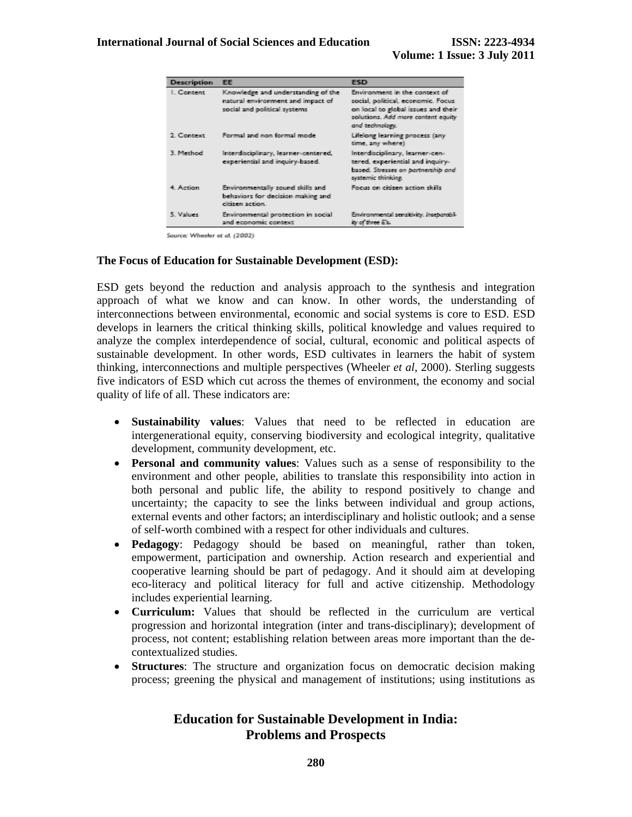| Description | <b>EE</b>                                                                                               | <b>ESD</b>                                                                                                                                                          |
|-------------|---------------------------------------------------------------------------------------------------------|---------------------------------------------------------------------------------------------------------------------------------------------------------------------|
| I. Content  | Knowledge and understanding of the<br>natural environment and impact of<br>social and political systems | Environment in the context of<br>social, political, economic. Focus<br>on local to global issues and their<br>solutions. Add more content equity<br>and technology. |
| 2. Context  | Formal and non-formal mode                                                                              | Lifelong learning process (any<br>time, any where)                                                                                                                  |
| 3. Method   | Interdisciplinary, learner-centered,<br>experiential and inquiry-based.                                 | Interdisciplinary, learner-cen-<br>tered, experiential and inquiry-<br>based. Stresses on partnership and<br>systemic thinking.                                     |
| 4. Action   | Environmentally sound skills and<br>behaviors for decision making and<br>citizen action.                | Focus on citizen action skills.                                                                                                                                     |
| 5. Values   | Environmental protection in social<br>and economic context                                              | Environmental sensitivity, Inseparabil-<br>ity of three E's.                                                                                                        |

Source: Wheeler et al. (2002)

#### **The Focus of Education for Sustainable Development (ESD):**

ESD gets beyond the reduction and analysis approach to the synthesis and integration approach of what we know and can know. In other words, the understanding of interconnections between environmental, economic and social systems is core to ESD. ESD develops in learners the critical thinking skills, political knowledge and values required to analyze the complex interdependence of social, cultural, economic and political aspects of sustainable development. In other words, ESD cultivates in learners the habit of system thinking, interconnections and multiple perspectives (Wheeler *et al*, 2000). Sterling suggests five indicators of ESD which cut across the themes of environment, the economy and social quality of life of all. These indicators are:

- **Sustainability values**: Values that need to be reflected in education are intergenerational equity, conserving biodiversity and ecological integrity, qualitative development, community development, etc.
- **Personal and community values**: Values such as a sense of responsibility to the environment and other people, abilities to translate this responsibility into action in both personal and public life, the ability to respond positively to change and uncertainty; the capacity to see the links between individual and group actions, external events and other factors; an interdisciplinary and holistic outlook; and a sense of self-worth combined with a respect for other individuals and cultures.
- **Pedagogy**: Pedagogy should be based on meaningful, rather than token, empowerment, participation and ownership. Action research and experiential and cooperative learning should be part of pedagogy. And it should aim at developing eco-literacy and political literacy for full and active citizenship. Methodology includes experiential learning.
- **Curriculum:** Values that should be reflected in the curriculum are vertical progression and horizontal integration (inter and trans-disciplinary); development of process, not content; establishing relation between areas more important than the decontextualized studies.
- **Structures**: The structure and organization focus on democratic decision making process; greening the physical and management of institutions; using institutions as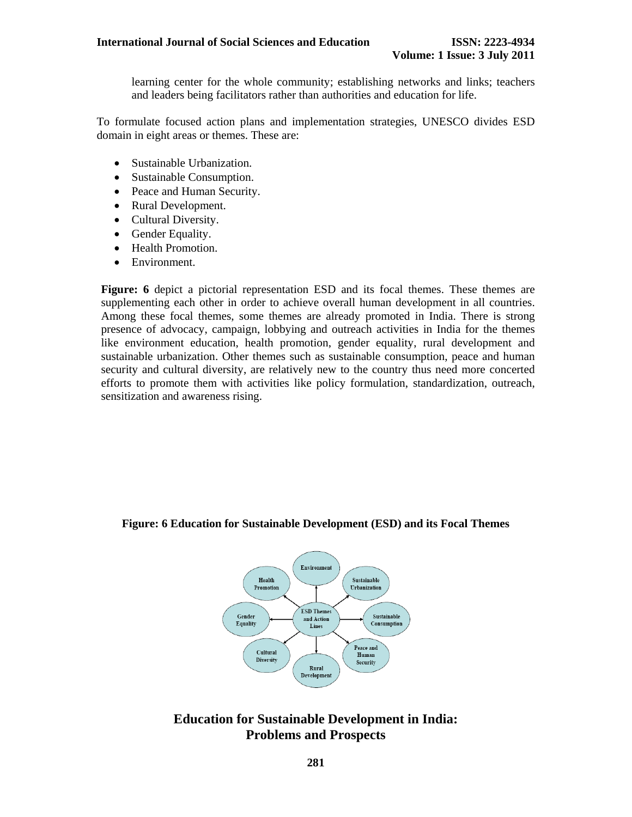learning center for the whole community; establishing networks and links; teachers and leaders being facilitators rather than authorities and education for life.

To formulate focused action plans and implementation strategies, UNESCO divides ESD domain in eight areas or themes. These are:

- Sustainable Urbanization.
- Sustainable Consumption.
- Peace and Human Security.
- Rural Development.
- Cultural Diversity.
- Gender Equality.
- Health Promotion.
- Environment.

**Figure: 6** depict a pictorial representation ESD and its focal themes. These themes are supplementing each other in order to achieve overall human development in all countries. Among these focal themes, some themes are already promoted in India. There is strong presence of advocacy, campaign, lobbying and outreach activities in India for the themes like environment education, health promotion, gender equality, rural development and sustainable urbanization. Other themes such as sustainable consumption, peace and human security and cultural diversity, are relatively new to the country thus need more concerted efforts to promote them with activities like policy formulation, standardization, outreach, sensitization and awareness rising.

#### **Figure: 6 Education for Sustainable Development (ESD) and its Focal Themes**

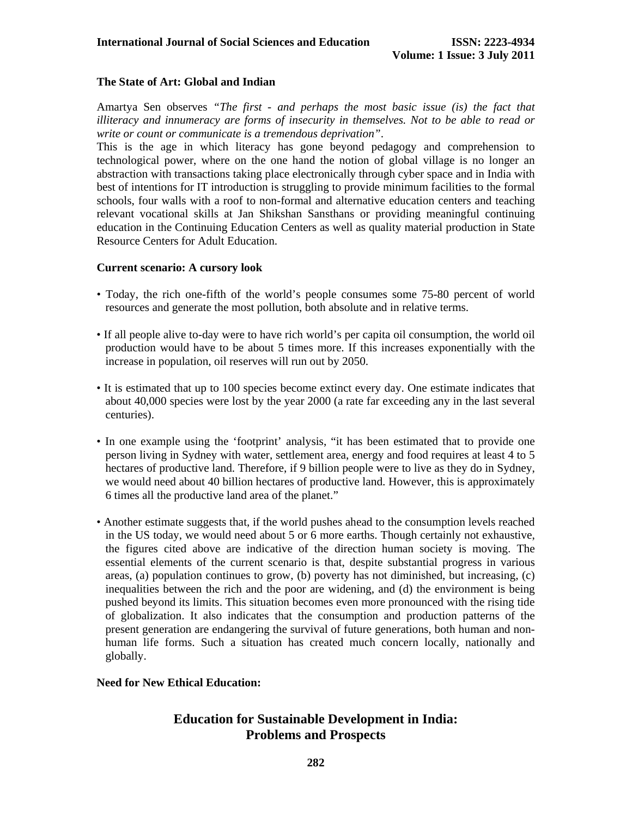### **The State of Art: Global and Indian**

Amartya Sen observes *"The first - and perhaps the most basic issue (is) the fact that illiteracy and innumeracy are forms of insecurity in themselves. Not to be able to read or write or count or communicate is a tremendous deprivation"*.

This is the age in which literacy has gone beyond pedagogy and comprehension to technological power, where on the one hand the notion of global village is no longer an abstraction with transactions taking place electronically through cyber space and in India with best of intentions for IT introduction is struggling to provide minimum facilities to the formal schools, four walls with a roof to non-formal and alternative education centers and teaching relevant vocational skills at Jan Shikshan Sansthans or providing meaningful continuing education in the Continuing Education Centers as well as quality material production in State Resource Centers for Adult Education.

#### **Current scenario: A cursory look**

- Today, the rich one-fifth of the world's people consumes some 75-80 percent of world resources and generate the most pollution, both absolute and in relative terms.
- If all people alive to-day were to have rich world's per capita oil consumption, the world oil production would have to be about 5 times more. If this increases exponentially with the increase in population, oil reserves will run out by 2050.
- It is estimated that up to 100 species become extinct every day. One estimate indicates that about 40,000 species were lost by the year 2000 (a rate far exceeding any in the last several centuries).
- In one example using the 'footprint' analysis, "it has been estimated that to provide one person living in Sydney with water, settlement area, energy and food requires at least 4 to 5 hectares of productive land. Therefore, if 9 billion people were to live as they do in Sydney, we would need about 40 billion hectares of productive land. However, this is approximately 6 times all the productive land area of the planet."
- Another estimate suggests that, if the world pushes ahead to the consumption levels reached in the US today, we would need about 5 or 6 more earths. Though certainly not exhaustive, the figures cited above are indicative of the direction human society is moving. The essential elements of the current scenario is that, despite substantial progress in various areas, (a) population continues to grow, (b) poverty has not diminished, but increasing, (c) inequalities between the rich and the poor are widening, and (d) the environment is being pushed beyond its limits. This situation becomes even more pronounced with the rising tide of globalization. It also indicates that the consumption and production patterns of the present generation are endangering the survival of future generations, both human and nonhuman life forms. Such a situation has created much concern locally, nationally and globally.

#### **Need for New Ethical Education:**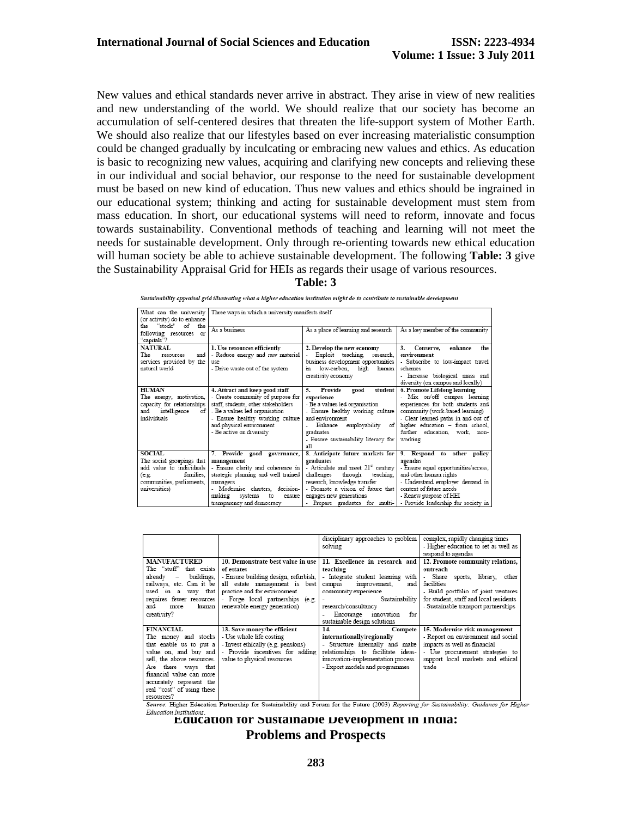New values and ethical standards never arrive in abstract. They arise in view of new realities and new understanding of the world. We should realize that our society has become an accumulation of self-centered desires that threaten the life-support system of Mother Earth. We should also realize that our lifestyles based on ever increasing materialistic consumption could be changed gradually by inculcating or embracing new values and ethics. As education is basic to recognizing new values, acquiring and clarifying new concepts and relieving these in our individual and social behavior, our response to the need for sustainable development must be based on new kind of education. Thus new values and ethics should be ingrained in our educational system; thinking and acting for sustainable development must stem from mass education. In short, our educational systems will need to reform, innovate and focus towards sustainability. Conventional methods of teaching and learning will not meet the needs for sustainable development. Only through re-orienting towards new ethical education will human society be able to achieve sustainable development. The following **Table: 3** give the Sustainability Appraisal Grid for HEIs as regards their usage of various resources.

**Table: 3** 

| What can the university<br>(or activity) do to enhance                                                                                     | Three ways in which a university manifests itself                                                                                                                                                                                        |                                                                                                                                                                                                                                                                       |                                                                                                                                                                                                                                                            |  |
|--------------------------------------------------------------------------------------------------------------------------------------------|------------------------------------------------------------------------------------------------------------------------------------------------------------------------------------------------------------------------------------------|-----------------------------------------------------------------------------------------------------------------------------------------------------------------------------------------------------------------------------------------------------------------------|------------------------------------------------------------------------------------------------------------------------------------------------------------------------------------------------------------------------------------------------------------|--|
| the "stock" of the<br>following resources or<br>"capitals"?                                                                                | As a business                                                                                                                                                                                                                            | As a place of learning and research                                                                                                                                                                                                                                   | As a key member of the community                                                                                                                                                                                                                           |  |
| <b>NATURAL</b><br>The<br>and<br>resources<br>services provided by the<br>natural world                                                     | 1. Use resources efficiently<br>- Reduce energy and raw material<br>use<br>- Drive waste out of the system                                                                                                                               | 2. Develop the new economy<br>Exploit teaching, research,<br>business development opportunities<br>in low-carbon.<br>high<br>human<br>creativity economy                                                                                                              | <b>Conserve,</b><br>3.<br>enhance<br>the<br>environment<br>- Subscribe to low-impact travel<br>schemes<br>- Increase biological mass and<br>diversity (on campus and locally)                                                                              |  |
| <b>HUMAN</b><br>The energy, motivation,<br>capacity for relationships<br>intelligence<br>and<br>оf<br>individuals                          | 4. Attract and keep good staff<br>- Create community of purpose for<br>staff, students, other stakeholders<br>- Be a values led organisation<br>- Ensure healthy working culture<br>and physical environment<br>- Be active on diversity | student<br>Provide<br>good<br>5.<br>experience<br>- Be a values led organisation<br>- Ensure healthy working culture<br>and environment<br>Enhance employability<br>of<br>graduates<br>- Ensure sustainability literacy for<br>all                                    | 6. Promote Lifelong learning<br>- Mix on/off campus learning<br>experiences for both students and<br>community (work-based learning)<br>- Clear learned paths in and out of<br>higher education - from school,<br>further education, work, non-<br>working |  |
| <b>SOCIAL</b><br>The social groupings that<br>add value to individuals<br>families.<br>(e.g.<br>communities, parliaments,<br>universities) | 7. Provide good governance,<br>management<br>- Ensure clarity and coherence in<br>strategic planning and well trained<br>managers<br>- Modernise charters, decision-<br>making<br>systems<br>to<br>ensure<br>transnarency and democracy  | 8. Anticipate future markets for<br>graduates<br>- Articulate and meet 21 <sup>st</sup> century<br>challenges<br>through<br>teaching.<br>research, knowledge transfer<br>- Promote a vision of future that<br>engages new generations<br>Prenare graduates for multi- | 9. Respond to other policy<br>agendas<br>- Ensure equal opportunities/access,<br>and other human rights<br>- Understand employer demand in<br>context of future needs<br>- Renew purpose of HEI<br>. Provide leadership for society in                     |  |

Sustainability appraisal grid illustrating what a higher education institution might do to contribute to sustainable development

|                                                                                                                                                                                                                                                                                                                                                                                                                                  |                                                                                                                                                                                                                                                      | complex, rapidly changing times                                                                                                                                                                                               |
|----------------------------------------------------------------------------------------------------------------------------------------------------------------------------------------------------------------------------------------------------------------------------------------------------------------------------------------------------------------------------------------------------------------------------------|------------------------------------------------------------------------------------------------------------------------------------------------------------------------------------------------------------------------------------------------------|-------------------------------------------------------------------------------------------------------------------------------------------------------------------------------------------------------------------------------|
|                                                                                                                                                                                                                                                                                                                                                                                                                                  | disciplinary approaches to problem<br>solving                                                                                                                                                                                                        | - Higher education to set as well as<br>respond to agendas                                                                                                                                                                    |
| <b>MANUFACTURED</b><br>10. Demonstrate best value in use<br>The "stuff" that exists<br>of estates<br>- Ensure building design, refurbish,<br>buildings.<br>already -<br>railways, etc. Can it be<br>all estate management is best<br>practice and for environment<br>used in a way that<br>- Forge local partnerships (e.g.<br>requires fewer resources<br>and<br>renewable energy generation)<br>human  <br>more<br>creativity? | 11. Excellence in research and<br>teaching<br>- Integrate student learning with<br>improvement.<br>and<br>campus<br>community experience<br>Sustainability<br>research/consultancy<br>Encourage<br>for<br>innovation<br>sustainable design solutions | 12. Promote community relations,<br>outreach<br>Share sports, library, other<br>$\sim$<br>facilities<br>- Build portfolio of joint ventures<br>for student, staff and local residents<br>- Sustainable transport partnerships |
| <b>FINANCIAL</b><br>13. Save money/be efficient<br>- Use whole life costing<br>The money and stocks<br>- Invest ethically (e.g. pensions)<br>that enable us to put a<br>- Provide incentives for adding<br>value on, and buy and<br>sell, the above resources.<br>value to physical resources<br>Are there ways that<br>financial value can more<br>accurately represent the<br>real "cost" of using these<br>resources?         | 14.<br>Compete<br>internationally/regionally<br>- Structure internally and make<br>relationships to facilitate ideas-<br>innovation-implementation process<br>- Export models and programmes                                                         | 15. Modernise risk management<br>- Report on environment and social<br>impacts as well as financial<br>- Use procurement strategies to<br>support local markets and ethical<br>trade                                          |

**Education Institutions.**<br> **Education for Sustainable Development in India: Problems and Prospects**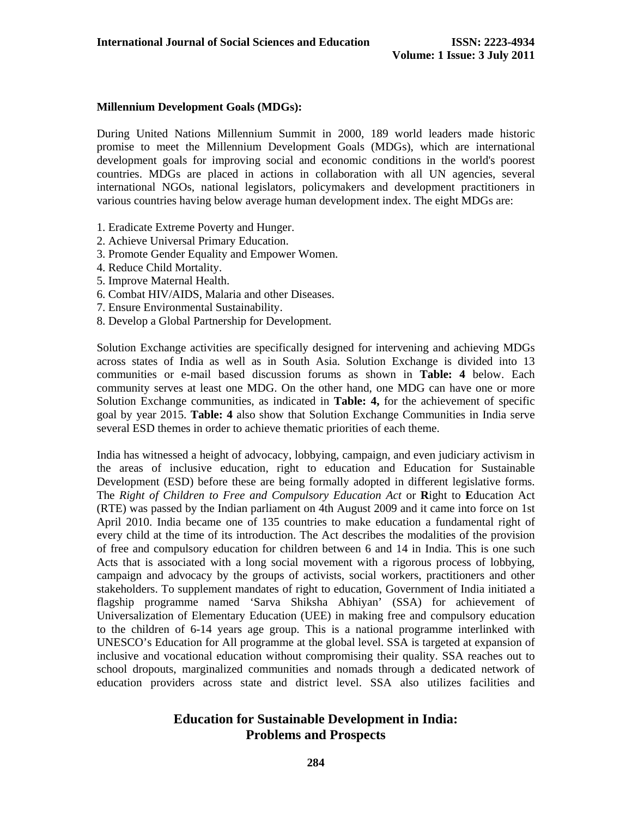### **Millennium Development Goals (MDGs):**

During United Nations Millennium Summit in 2000, 189 world leaders made historic promise to meet the Millennium Development Goals (MDGs), which are international development goals for improving social and economic conditions in the world's poorest countries. MDGs are placed in actions in collaboration with all UN agencies, several international NGOs, national legislators, policymakers and development practitioners in various countries having below average human development index. The eight MDGs are:

- 1. Eradicate Extreme Poverty and Hunger.
- 2. Achieve Universal Primary Education.
- 3. Promote Gender Equality and Empower Women.
- 4. Reduce Child Mortality.
- 5. Improve Maternal Health.
- 6. Combat HIV/AIDS, Malaria and other Diseases.
- 7. Ensure Environmental Sustainability.
- 8. Develop a Global Partnership for Development.

Solution Exchange activities are specifically designed for intervening and achieving MDGs across states of India as well as in South Asia. Solution Exchange is divided into 13 communities or e-mail based discussion forums as shown in **Table: 4** below. Each community serves at least one MDG. On the other hand, one MDG can have one or more Solution Exchange communities, as indicated in **Table: 4,** for the achievement of specific goal by year 2015. **Table: 4** also show that Solution Exchange Communities in India serve several ESD themes in order to achieve thematic priorities of each theme.

India has witnessed a height of advocacy, lobbying, campaign, and even judiciary activism in the areas of inclusive education, right to education and Education for Sustainable Development (ESD) before these are being formally adopted in different legislative forms. The *Right of Children to Free and Compulsory Education Act* or **R**ight to **E**ducation Act (RTE) was passed by the Indian parliament on 4th August 2009 and it came into force on 1st April 2010. India became one of 135 countries to make education a fundamental right of every child at the time of its introduction. The Act describes the modalities of the provision of free and compulsory education for children between 6 and 14 in India. This is one such Acts that is associated with a long social movement with a rigorous process of lobbying, campaign and advocacy by the groups of activists, social workers, practitioners and other stakeholders. To supplement mandates of right to education, Government of India initiated a flagship programme named 'Sarva Shiksha Abhiyan' (SSA) for achievement of Universalization of Elementary Education (UEE) in making free and compulsory education to the children of 6-14 years age group. This is a national programme interlinked with UNESCO's Education for All programme at the global level. SSA is targeted at expansion of inclusive and vocational education without compromising their quality. SSA reaches out to school dropouts, marginalized communities and nomads through a dedicated network of education providers across state and district level. SSA also utilizes facilities and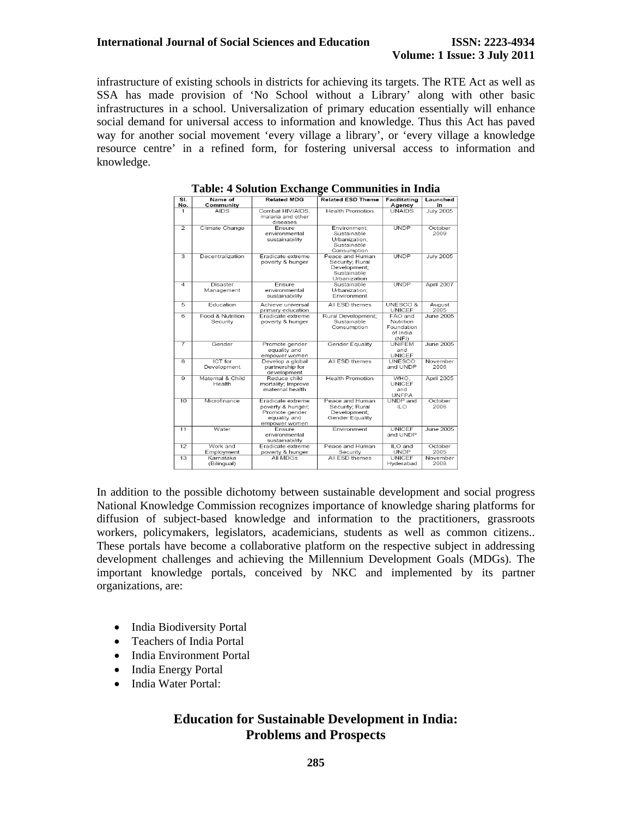infrastructure of existing schools in districts for achieving its targets. The RTE Act as well as SSA has made provision of 'No School without a Library' along with other basic infrastructures in a school. Universalization of primary education essentially will enhance social demand for universal access to information and knowledge. Thus this Act has paved way for another social movement 'every village a library', or 'every village a knowledge resource centre' in a refined form, for fostering universal access to information and knowledge.

| SI.<br>No.     | Name of<br>Community          | <b>Related MDG</b>                                                                        | <b>Related ESD Theme</b>                                                          | Facilitating<br>Agency                                  | Launched<br>in   |
|----------------|-------------------------------|-------------------------------------------------------------------------------------------|-----------------------------------------------------------------------------------|---------------------------------------------------------|------------------|
| 1              | <b>AIDS</b>                   | Combat HIV/AIDS.<br>malaria and other<br>diseases                                         | <b>Health Promotion</b>                                                           | <b>UNAIDS</b>                                           | <b>July 2005</b> |
| $\overline{2}$ | Climate Change                | Ensure<br>environmental<br>sustainability                                                 | Environment:<br>Sustainable<br>Urbanization:<br>Sustainable<br>Consumption        | <b>UNDP</b>                                             | October<br>2009  |
| 3              | Decentralization              | Fradicate extreme<br>poverty & hunger                                                     | Peace and Human<br>Security; Rural<br>Development;<br>Sustainable<br>Urbanization | <b>UNDP</b>                                             | <b>July 2005</b> |
| $\overline{4}$ | Disaster<br>Management        | Ensure<br>environmental<br>sustainability                                                 | Sustainable<br>Urbanization:<br>Environment                                       | <b>UNDP</b>                                             | April 2007       |
| 5              | Education                     | Achieve universal<br>primary education                                                    | All ESD themes                                                                    | UNESCO &<br><b>UNICEF</b>                               | August<br>2005   |
| 6              | Food & Nutrition<br>Security  | Eradicate extreme<br>poverty & hunger                                                     | Rural Development:<br>Sustainable<br>Consumption                                  | FAO and<br>Nutrition<br>Foundation<br>of India<br>(NFI) | June 2005        |
| $\overline{7}$ | Gender                        | Promote gender<br>equality and<br>empower women                                           | <b>Gender Equality</b>                                                            | UNIFEM<br>and<br>UNICEF                                 | June 2005        |
| 8              | <b>ICT</b> for<br>Development | Develop a global<br>partnership for<br>development                                        | All ESD themes                                                                    | <b>UNESCO</b><br>and UNDP                               | November<br>2006 |
| 9              | Maternal & Child<br>Health    | Reduce child<br>mortality: Improve<br>maternal health                                     | <b>Health Promotion</b>                                                           | WHO.<br><b>UNICEF</b><br>and<br><b>UNFPA</b>            | April 2005       |
| 10             | Microfinance                  | Eradicate extreme<br>poverty & hunger:<br>Promote gender<br>equality and<br>empower women | Peace and Human<br>Security: Rural<br>Development;<br>Gender Equality             | UNDP and<br>ILO.                                        | October<br>2006  |
| 11             | Water                         | Ensure<br>environmental<br>sustainability                                                 | Environment                                                                       | UNICEE<br>and UNDP                                      | June 2005        |
| 12             | Work and<br>Employment        | Eradicate extreme<br>poverty & hunger                                                     | Peace and Human<br>Security                                                       | ILO and<br><b>UNDP</b>                                  | October<br>2005  |
| 13             | Kamataka<br>(Bilingual)       | All MDGs                                                                                  | All FSD themes                                                                    | UNICEE<br>Hyderabad                                     | November<br>2008 |

**Table: 4 Solution Exchange Communities in India** 

In addition to the possible dichotomy between sustainable development and social progress National Knowledge Commission recognizes importance of knowledge sharing platforms for diffusion of subject-based knowledge and information to the practitioners, grassroots workers, policymakers, legislators, academicians, students as well as common citizens.. These portals have become a collaborative platform on the respective subject in addressing development challenges and achieving the Millennium Development Goals (MDGs). The important knowledge portals, conceived by NKC and implemented by its partner organizations, are:

- India Biodiversity Portal
- Teachers of India Portal
- India Environment Portal
- India Energy Portal
- India Water Portal: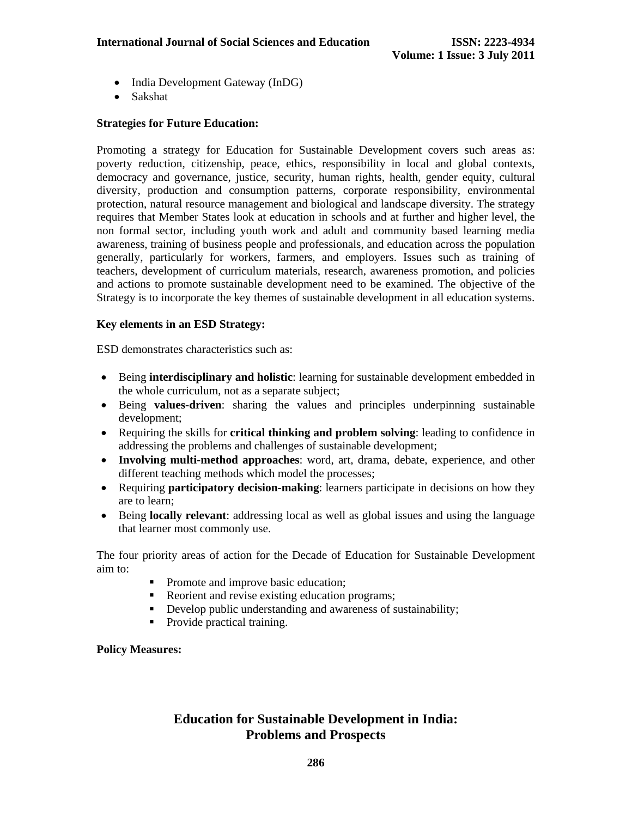- India Development Gateway (InDG)
- Sakshat

#### **Strategies for Future Education:**

Promoting a strategy for Education for Sustainable Development covers such areas as: poverty reduction, citizenship, peace, ethics, responsibility in local and global contexts, democracy and governance, justice, security, human rights, health, gender equity, cultural diversity, production and consumption patterns, corporate responsibility, environmental protection, natural resource management and biological and landscape diversity. The strategy requires that Member States look at education in schools and at further and higher level, the non formal sector, including youth work and adult and community based learning media awareness, training of business people and professionals, and education across the population generally, particularly for workers, farmers, and employers. Issues such as training of teachers, development of curriculum materials, research, awareness promotion, and policies and actions to promote sustainable development need to be examined. The objective of the Strategy is to incorporate the key themes of sustainable development in all education systems.

### **Key elements in an ESD Strategy:**

ESD demonstrates characteristics such as:

- Being **interdisciplinary and holistic**: learning for sustainable development embedded in the whole curriculum, not as a separate subject;
- Being **values-driven**: sharing the values and principles underpinning sustainable development;
- Requiring the skills for **critical thinking and problem solving**: leading to confidence in addressing the problems and challenges of sustainable development;
- **Involving multi-method approaches**: word, art, drama, debate, experience, and other different teaching methods which model the processes;
- Requiring **participatory decision-making**: learners participate in decisions on how they are to learn;
- Being **locally relevant**: addressing local as well as global issues and using the language that learner most commonly use.

The four priority areas of action for the Decade of Education for Sustainable Development aim to:

- Promote and improve basic education;
- Reorient and revise existing education programs;
- Develop public understanding and awareness of sustainability;
- Provide practical training.

**Policy Measures:**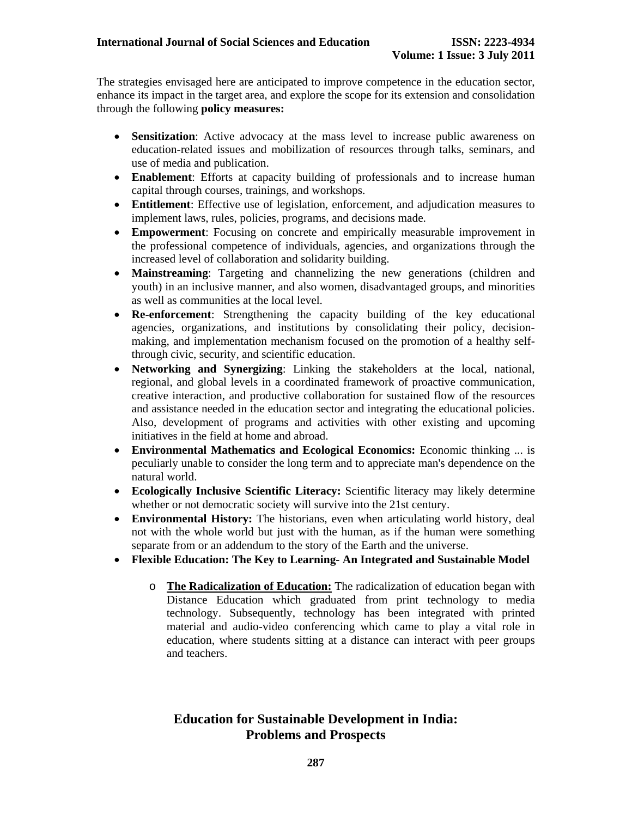The strategies envisaged here are anticipated to improve competence in the education sector, enhance its impact in the target area, and explore the scope for its extension and consolidation through the following **policy measures:** 

- **Sensitization**: Active advocacy at the mass level to increase public awareness on education-related issues and mobilization of resources through talks, seminars, and use of media and publication.
- **Enablement**: Efforts at capacity building of professionals and to increase human capital through courses, trainings, and workshops.
- **Entitlement**: Effective use of legislation, enforcement, and adjudication measures to implement laws, rules, policies, programs, and decisions made.
- **Empowerment**: Focusing on concrete and empirically measurable improvement in the professional competence of individuals, agencies, and organizations through the increased level of collaboration and solidarity building.
- **Mainstreaming**: Targeting and channelizing the new generations (children and youth) in an inclusive manner, and also women, disadvantaged groups, and minorities as well as communities at the local level.
- **Re-enforcement**: Strengthening the capacity building of the key educational agencies, organizations, and institutions by consolidating their policy, decisionmaking, and implementation mechanism focused on the promotion of a healthy selfthrough civic, security, and scientific education.
- **Networking and Synergizing**: Linking the stakeholders at the local, national, regional, and global levels in a coordinated framework of proactive communication, creative interaction, and productive collaboration for sustained flow of the resources and assistance needed in the education sector and integrating the educational policies. Also, development of programs and activities with other existing and upcoming initiatives in the field at home and abroad.
- **Environmental Mathematics and Ecological Economics:** Economic thinking ... is peculiarly unable to consider the long term and to appreciate man's dependence on the natural world.
- **Ecologically Inclusive Scientific Literacy:** Scientific literacy may likely determine whether or not democratic society will survive into the 21st century.
- **Environmental History:** The historians, even when articulating world history, deal not with the whole world but just with the human, as if the human were something separate from or an addendum to the story of the Earth and the universe.
- **Flexible Education: The Key to Learning- An Integrated and Sustainable Model** 
	- o **The Radicalization of Education:** The radicalization of education began with Distance Education which graduated from print technology to media technology. Subsequently, technology has been integrated with printed material and audio-video conferencing which came to play a vital role in education, where students sitting at a distance can interact with peer groups and teachers.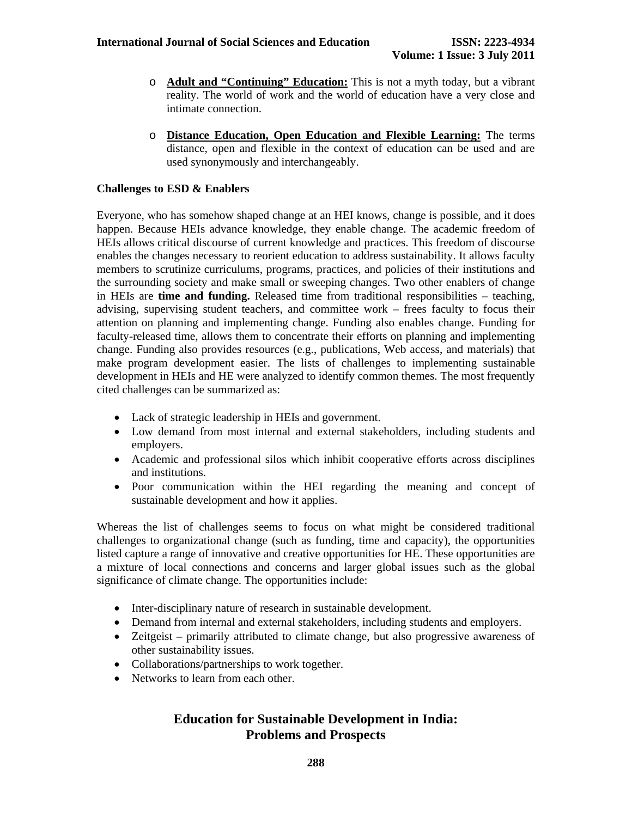- o **Adult and "Continuing" Education:** This is not a myth today, but a vibrant reality. The world of work and the world of education have a very close and intimate connection.
- o **Distance Education, Open Education and Flexible Learning:** The terms distance, open and flexible in the context of education can be used and are used synonymously and interchangeably.

### **Challenges to ESD & Enablers**

Everyone, who has somehow shaped change at an HEI knows, change is possible, and it does happen. Because HEIs advance knowledge, they enable change. The academic freedom of HEIs allows critical discourse of current knowledge and practices. This freedom of discourse enables the changes necessary to reorient education to address sustainability. It allows faculty members to scrutinize curriculums, programs, practices, and policies of their institutions and the surrounding society and make small or sweeping changes. Two other enablers of change in HEIs are **time and funding.** Released time from traditional responsibilities – teaching, advising, supervising student teachers, and committee work – frees faculty to focus their attention on planning and implementing change. Funding also enables change. Funding for faculty-released time, allows them to concentrate their efforts on planning and implementing change. Funding also provides resources (e.g., publications, Web access, and materials) that make program development easier. The lists of challenges to implementing sustainable development in HEIs and HE were analyzed to identify common themes. The most frequently cited challenges can be summarized as:

- Lack of strategic leadership in HEIs and government.
- Low demand from most internal and external stakeholders, including students and employers.
- Academic and professional silos which inhibit cooperative efforts across disciplines and institutions.
- Poor communication within the HEI regarding the meaning and concept of sustainable development and how it applies.

Whereas the list of challenges seems to focus on what might be considered traditional challenges to organizational change (such as funding, time and capacity), the opportunities listed capture a range of innovative and creative opportunities for HE. These opportunities are a mixture of local connections and concerns and larger global issues such as the global significance of climate change. The opportunities include:

- Inter-disciplinary nature of research in sustainable development.
- Demand from internal and external stakeholders, including students and employers.
- Zeitgeist primarily attributed to climate change, but also progressive awareness of other sustainability issues.
- Collaborations/partnerships to work together.
- Networks to learn from each other.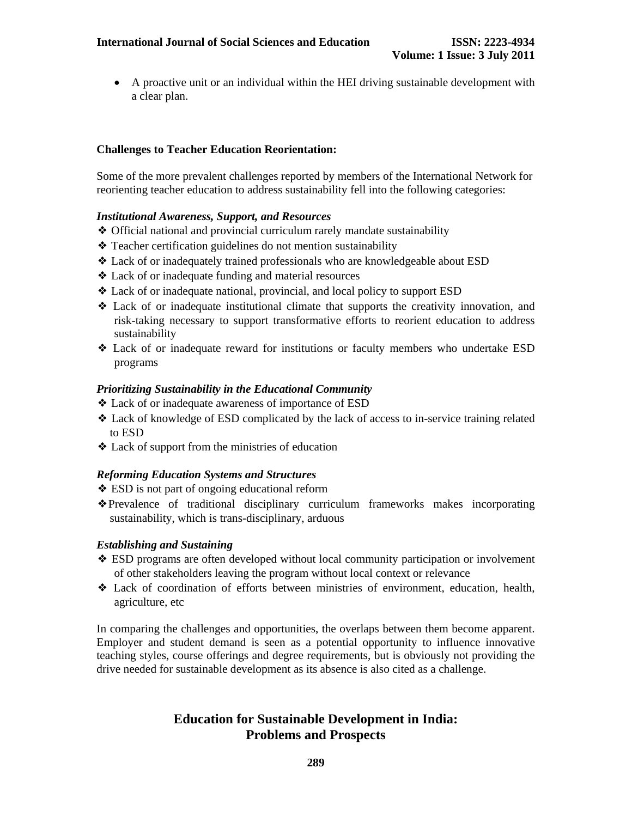• A proactive unit or an individual within the HEI driving sustainable development with a clear plan.

### **Challenges to Teacher Education Reorientation:**

Some of the more prevalent challenges reported by members of the International Network for reorienting teacher education to address sustainability fell into the following categories:

#### *Institutional Awareness, Support, and Resources*

- ❖ Official national and provincial curriculum rarely mandate sustainability
- ❖ Teacher certification guidelines do not mention sustainability
- ❖ Lack of or inadequately trained professionals who are knowledgeable about ESD
- ❖ Lack of or inadequate funding and material resources
- ❖ Lack of or inadequate national, provincial, and local policy to support ESD
- ❖ Lack of or inadequate institutional climate that supports the creativity innovation, and risk-taking necessary to support transformative efforts to reorient education to address sustainability
- ❖ Lack of or inadequate reward for institutions or faculty members who undertake ESD programs

#### *Prioritizing Sustainability in the Educational Community*

- ❖ Lack of or inadequate awareness of importance of ESD
- ❖ Lack of knowledge of ESD complicated by the lack of access to in-service training related to ESD
- ❖ Lack of support from the ministries of education

#### *Reforming Education Systems and Structures*

- ❖ ESD is not part of ongoing educational reform
- ❖Prevalence of traditional disciplinary curriculum frameworks makes incorporating sustainability, which is trans-disciplinary, arduous

#### *Establishing and Sustaining*

- ❖ ESD programs are often developed without local community participation or involvement of other stakeholders leaving the program without local context or relevance
- ❖ Lack of coordination of efforts between ministries of environment, education, health, agriculture, etc

In comparing the challenges and opportunities, the overlaps between them become apparent. Employer and student demand is seen as a potential opportunity to influence innovative teaching styles, course offerings and degree requirements, but is obviously not providing the drive needed for sustainable development as its absence is also cited as a challenge.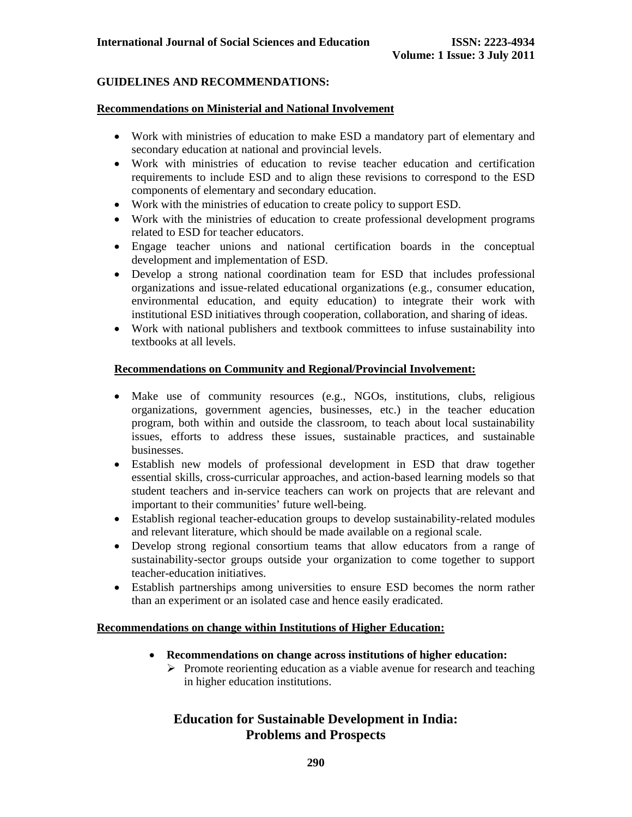### **GUIDELINES AND RECOMMENDATIONS:**

#### **Recommendations on Ministerial and National Involvement**

- Work with ministries of education to make ESD a mandatory part of elementary and secondary education at national and provincial levels.
- Work with ministries of education to revise teacher education and certification requirements to include ESD and to align these revisions to correspond to the ESD components of elementary and secondary education.
- Work with the ministries of education to create policy to support ESD.
- Work with the ministries of education to create professional development programs related to ESD for teacher educators.
- Engage teacher unions and national certification boards in the conceptual development and implementation of ESD.
- Develop a strong national coordination team for ESD that includes professional organizations and issue-related educational organizations (e.g., consumer education, environmental education, and equity education) to integrate their work with institutional ESD initiatives through cooperation, collaboration, and sharing of ideas.
- Work with national publishers and textbook committees to infuse sustainability into textbooks at all levels.

### **Recommendations on Community and Regional/Provincial Involvement:**

- Make use of community resources (e.g., NGOs, institutions, clubs, religious organizations, government agencies, businesses, etc.) in the teacher education program, both within and outside the classroom, to teach about local sustainability issues, efforts to address these issues, sustainable practices, and sustainable businesses.
- Establish new models of professional development in ESD that draw together essential skills, cross-curricular approaches, and action-based learning models so that student teachers and in-service teachers can work on projects that are relevant and important to their communities' future well-being.
- Establish regional teacher-education groups to develop sustainability-related modules and relevant literature, which should be made available on a regional scale.
- Develop strong regional consortium teams that allow educators from a range of sustainability-sector groups outside your organization to come together to support teacher-education initiatives.
- Establish partnerships among universities to ensure ESD becomes the norm rather than an experiment or an isolated case and hence easily eradicated.

#### **Recommendations on change within Institutions of Higher Education:**

- **Recommendations on change across institutions of higher education:** 
	- $\triangleright$  Promote reorienting education as a viable avenue for research and teaching in higher education institutions.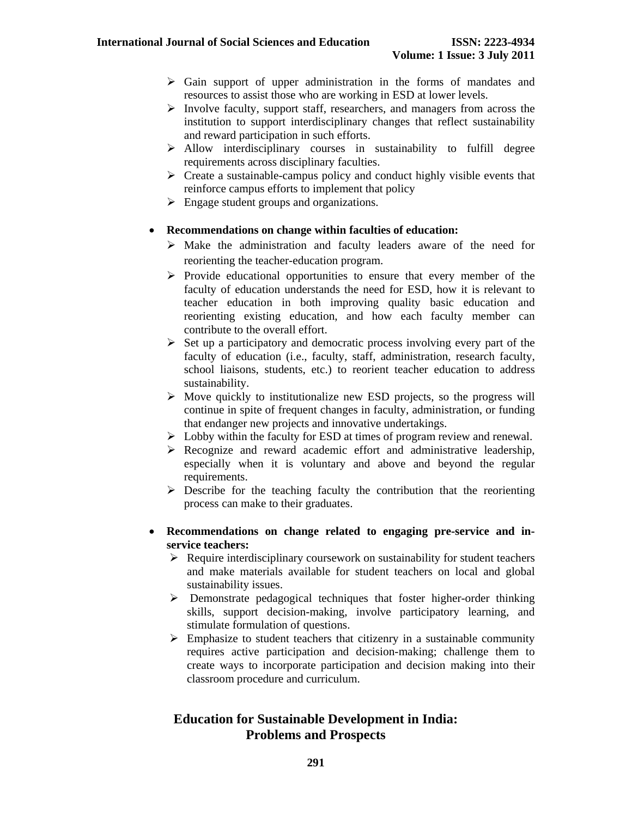- $\triangleright$  Gain support of upper administration in the forms of mandates and resources to assist those who are working in ESD at lower levels.
- $\triangleright$  Involve faculty, support staff, researchers, and managers from across the institution to support interdisciplinary changes that reflect sustainability and reward participation in such efforts.
- $\triangleright$  Allow interdisciplinary courses in sustainability to fulfill degree requirements across disciplinary faculties.
- $\triangleright$  Create a sustainable-campus policy and conduct highly visible events that reinforce campus efforts to implement that policy
- $\triangleright$  Engage student groups and organizations.
- **Recommendations on change within faculties of education:** 
	- $\triangleright$  Make the administration and faculty leaders aware of the need for reorienting the teacher-education program.
	- $\triangleright$  Provide educational opportunities to ensure that every member of the faculty of education understands the need for ESD, how it is relevant to teacher education in both improving quality basic education and reorienting existing education, and how each faculty member can contribute to the overall effort.
	- $\triangleright$  Set up a participatory and democratic process involving every part of the faculty of education (i.e., faculty, staff, administration, research faculty, school liaisons, students, etc.) to reorient teacher education to address sustainability.
	- $\triangleright$  Move quickly to institutionalize new ESD projects, so the progress will continue in spite of frequent changes in faculty, administration, or funding that endanger new projects and innovative undertakings.
	- $\triangleright$  Lobby within the faculty for ESD at times of program review and renewal.
	- $\triangleright$  Recognize and reward academic effort and administrative leadership, especially when it is voluntary and above and beyond the regular requirements.
	- $\triangleright$  Describe for the teaching faculty the contribution that the reorienting process can make to their graduates.
- **Recommendations on change related to engaging pre-service and inservice teachers:** 
	- $\triangleright$  Require interdisciplinary coursework on sustainability for student teachers and make materials available for student teachers on local and global sustainability issues.
	- $\triangleright$  Demonstrate pedagogical techniques that foster higher-order thinking skills, support decision-making, involve participatory learning, and stimulate formulation of questions.
	- $\triangleright$  Emphasize to student teachers that citizenry in a sustainable community requires active participation and decision-making; challenge them to create ways to incorporate participation and decision making into their classroom procedure and curriculum.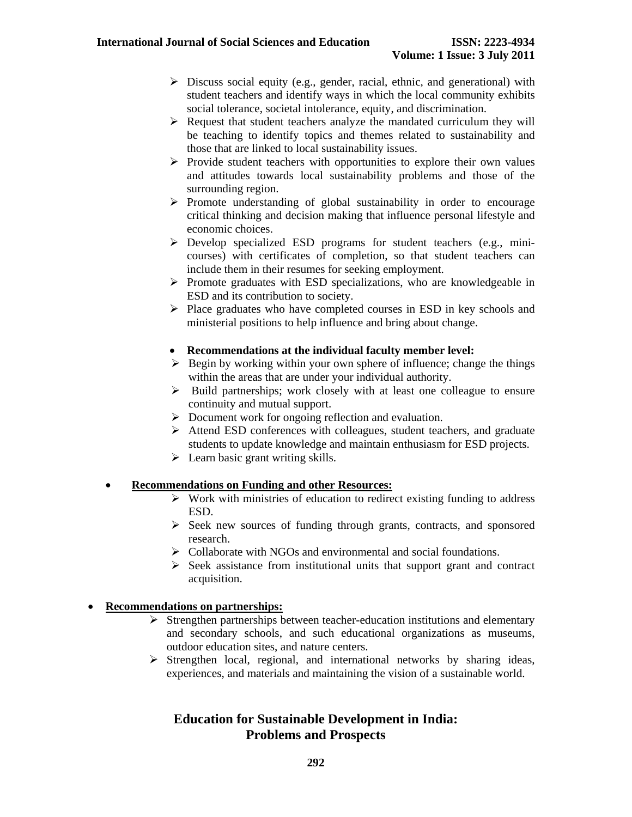- $\triangleright$  Discuss social equity (e.g., gender, racial, ethnic, and generational) with student teachers and identify ways in which the local community exhibits social tolerance, societal intolerance, equity, and discrimination.
- $\triangleright$  Request that student teachers analyze the mandated curriculum they will be teaching to identify topics and themes related to sustainability and those that are linked to local sustainability issues.
- $\triangleright$  Provide student teachers with opportunities to explore their own values and attitudes towards local sustainability problems and those of the surrounding region.
- $\triangleright$  Promote understanding of global sustainability in order to encourage critical thinking and decision making that influence personal lifestyle and economic choices.
- $\triangleright$  Develop specialized ESD programs for student teachers (e.g., minicourses) with certificates of completion, so that student teachers can include them in their resumes for seeking employment.
- $\triangleright$  Promote graduates with ESD specializations, who are knowledgeable in ESD and its contribution to society.
- $\triangleright$  Place graduates who have completed courses in ESD in key schools and ministerial positions to help influence and bring about change.

### • **Recommendations at the individual faculty member level:**

- $\triangleright$  Begin by working within your own sphere of influence; change the things within the areas that are under your individual authority.
- $\triangleright$  Build partnerships; work closely with at least one colleague to ensure continuity and mutual support.
- $\triangleright$  Document work for ongoing reflection and evaluation.
- ¾ Attend ESD conferences with colleagues, student teachers, and graduate students to update knowledge and maintain enthusiasm for ESD projects.
- $\triangleright$  Learn basic grant writing skills.

### • **Recommendations on Funding and other Resources:**

- $\triangleright$  Work with ministries of education to redirect existing funding to address ESD.
- $\triangleright$  Seek new sources of funding through grants, contracts, and sponsored research.
- $\triangleright$  Collaborate with NGOs and environmental and social foundations.
- $\triangleright$  Seek assistance from institutional units that support grant and contract acquisition.

### • **Recommendations on partnerships:**

- $\triangleright$  Strengthen partnerships between teacher-education institutions and elementary and secondary schools, and such educational organizations as museums, outdoor education sites, and nature centers.
- $\triangleright$  Strengthen local, regional, and international networks by sharing ideas, experiences, and materials and maintaining the vision of a sustainable world.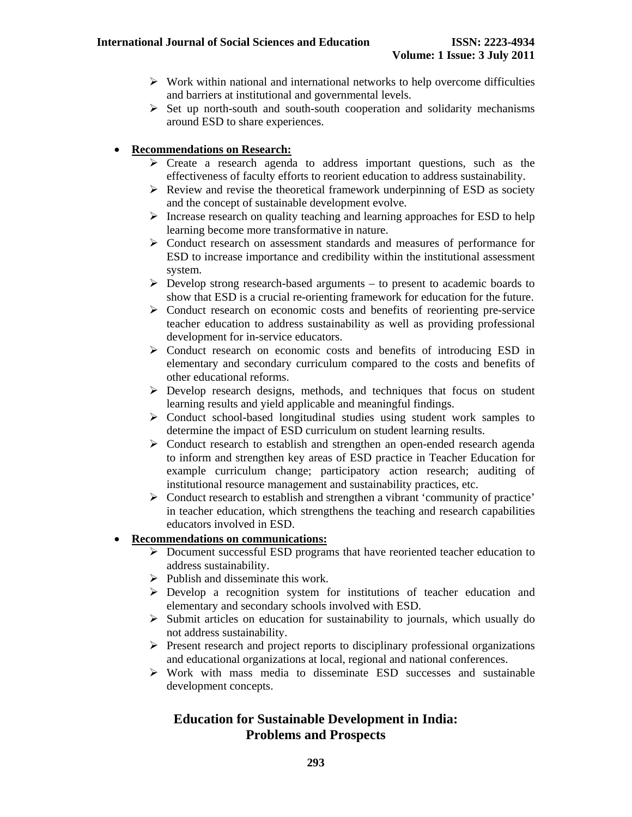- $\triangleright$  Work within national and international networks to help overcome difficulties and barriers at institutional and governmental levels.
- $\triangleright$  Set up north-south and south-south cooperation and solidarity mechanisms around ESD to share experiences.

### • **Recommendations on Research:**

- $\triangleright$  Create a research agenda to address important questions, such as the effectiveness of faculty efforts to reorient education to address sustainability.
- $\triangleright$  Review and revise the theoretical framework underpinning of ESD as society and the concept of sustainable development evolve.
- $\triangleright$  Increase research on quality teaching and learning approaches for ESD to help learning become more transformative in nature.
- ¾ Conduct research on assessment standards and measures of performance for ESD to increase importance and credibility within the institutional assessment system.
- $\triangleright$  Develop strong research-based arguments to present to academic boards to show that ESD is a crucial re-orienting framework for education for the future.
- ¾ Conduct research on economic costs and benefits of reorienting pre-service teacher education to address sustainability as well as providing professional development for in-service educators.
- $\triangleright$  Conduct research on economic costs and benefits of introducing ESD in elementary and secondary curriculum compared to the costs and benefits of other educational reforms.
- ¾ Develop research designs, methods, and techniques that focus on student learning results and yield applicable and meaningful findings.
- $\triangleright$  Conduct school-based longitudinal studies using student work samples to determine the impact of ESD curriculum on student learning results.
- $\triangleright$  Conduct research to establish and strengthen an open-ended research agenda to inform and strengthen key areas of ESD practice in Teacher Education for example curriculum change; participatory action research; auditing of institutional resource management and sustainability practices, etc.
- ¾ Conduct research to establish and strengthen a vibrant 'community of practice' in teacher education, which strengthens the teaching and research capabilities educators involved in ESD.

### • **Recommendations on communications:**

- ¾ Document successful ESD programs that have reoriented teacher education to address sustainability.
- $\triangleright$  Publish and disseminate this work.
- $\triangleright$  Develop a recognition system for institutions of teacher education and elementary and secondary schools involved with ESD.
- $\triangleright$  Submit articles on education for sustainability to journals, which usually do not address sustainability.
- ¾ Present research and project reports to disciplinary professional organizations and educational organizations at local, regional and national conferences.
- $\triangleright$  Work with mass media to disseminate ESD successes and sustainable development concepts.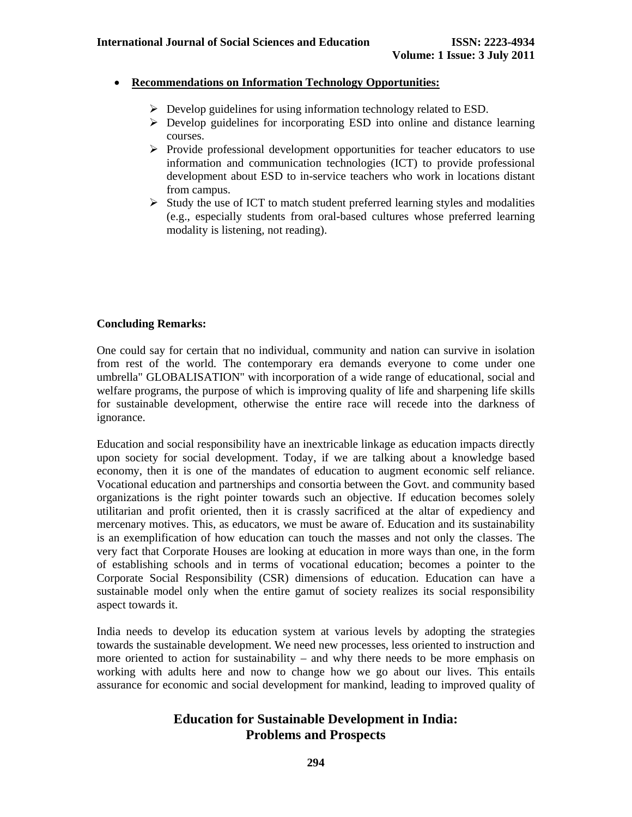### • **Recommendations on Information Technology Opportunities:**

- $\triangleright$  Develop guidelines for using information technology related to ESD.
- $\triangleright$  Develop guidelines for incorporating ESD into online and distance learning courses.
- ¾ Provide professional development opportunities for teacher educators to use information and communication technologies (ICT) to provide professional development about ESD to in-service teachers who work in locations distant from campus.
- $\triangleright$  Study the use of ICT to match student preferred learning styles and modalities (e.g., especially students from oral-based cultures whose preferred learning modality is listening, not reading).

### **Concluding Remarks:**

One could say for certain that no individual, community and nation can survive in isolation from rest of the world. The contemporary era demands everyone to come under one umbrella" GLOBALISATION" with incorporation of a wide range of educational, social and welfare programs, the purpose of which is improving quality of life and sharpening life skills for sustainable development, otherwise the entire race will recede into the darkness of ignorance.

Education and social responsibility have an inextricable linkage as education impacts directly upon society for social development. Today, if we are talking about a knowledge based economy, then it is one of the mandates of education to augment economic self reliance. Vocational education and partnerships and consortia between the Govt. and community based organizations is the right pointer towards such an objective. If education becomes solely utilitarian and profit oriented, then it is crassly sacrificed at the altar of expediency and mercenary motives. This, as educators, we must be aware of. Education and its sustainability is an exemplification of how education can touch the masses and not only the classes. The very fact that Corporate Houses are looking at education in more ways than one, in the form of establishing schools and in terms of vocational education; becomes a pointer to the Corporate Social Responsibility (CSR) dimensions of education. Education can have a sustainable model only when the entire gamut of society realizes its social responsibility aspect towards it.

India needs to develop its education system at various levels by adopting the strategies towards the sustainable development. We need new processes, less oriented to instruction and more oriented to action for sustainability – and why there needs to be more emphasis on working with adults here and now to change how we go about our lives. This entails assurance for economic and social development for mankind, leading to improved quality of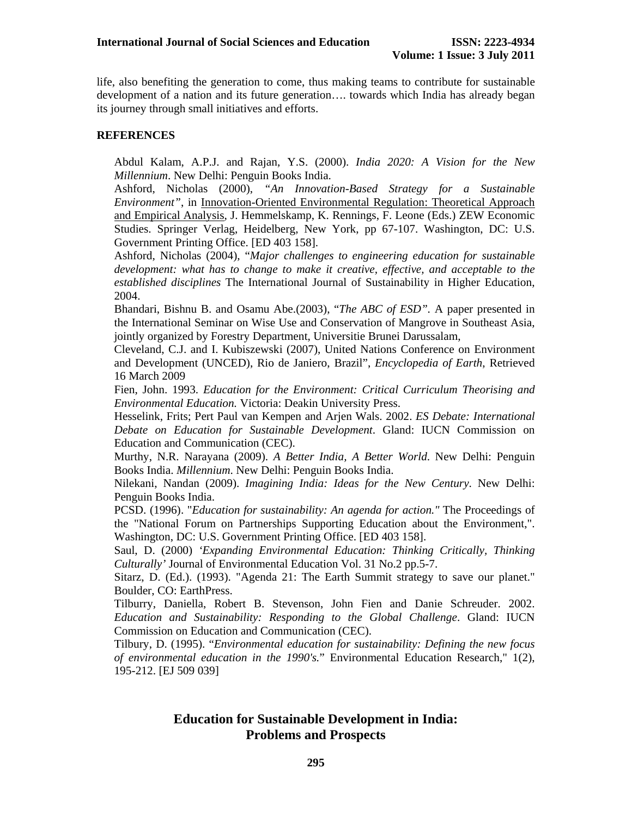life, also benefiting the generation to come, thus making teams to contribute for sustainable development of a nation and its future generation…. towards which India has already began its journey through small initiatives and efforts.

### **REFERENCES**

Abdul Kalam, A.P.J. and Rajan, Y.S. (2000). *India 2020: A Vision for the New Millennium*. New Delhi: Penguin Books India.

Ashford, Nicholas (2000), *"An Innovation-Based Strategy for a Sustainable Environment"*, in Innovation-Oriented Environmental Regulation: Theoretical Approach and Empirical Analysis, J. Hemmelskamp, K. Rennings, F. Leone (Eds.) ZEW Economic Studies. Springer Verlag, Heidelberg, New York, pp 67-107. Washington, DC: U.S. Government Printing Office. [ED 403 158].

Ashford, Nicholas (2004), "*Major challenges to engineering education for sustainable development: what has to change to make it creative, effective, and acceptable to the established disciplines* The International Journal of Sustainability in Higher Education, 2004.

Bhandari, Bishnu B. and Osamu Abe.(2003), "*The ABC of ESD".* A paper presented in the International Seminar on Wise Use and Conservation of Mangrove in Southeast Asia, jointly organized by Forestry Department, Universitie Brunei Darussalam,

Cleveland, C.J. and I. Kubiszewski (2007), United Nations Conference on Environment and Development (UNCED), Rio de Janiero, Brazil", *Encyclopedia of Earth*, Retrieved 16 March 2009

Fien, John. 1993. *Education for the Environment: Critical Curriculum Theorising and Environmental Education.* Victoria: Deakin University Press.

Hesselink, Frits; Pert Paul van Kempen and Arjen Wals. 2002. *ES Debate: International Debate on Education for Sustainable Development*. Gland: IUCN Commission on Education and Communication (CEC).

Murthy, N.R. Narayana (2009). *A Better India, A Better World*. New Delhi: Penguin Books India. *Millennium*. New Delhi: Penguin Books India.

Nilekani, Nandan (2009). *Imagining India: Ideas for the New Century*. New Delhi: Penguin Books India.

PCSD. (1996). "*Education for sustainability: An agenda for action."* The Proceedings of the "National Forum on Partnerships Supporting Education about the Environment,". Washington, DC: U.S. Government Printing Office. [ED 403 158].

Saul, D. (2000) *'Expanding Environmental Education: Thinking Critically, Thinking Culturally'* Journal of Environmental Education Vol. 31 No.2 pp.5-7.

Sitarz, D. (Ed.). (1993). "Agenda 21: The Earth Summit strategy to save our planet." Boulder, CO: EarthPress.

Tilburry, Daniella, Robert B. Stevenson, John Fien and Danie Schreuder. 2002. *Education and Sustainability: Responding to the Global Challenge*. Gland: IUCN Commission on Education and Communication (CEC).

Tilbury, D. (1995). "*Environmental education for sustainability: Defining the new focus of environmental education in the 1990's.*" Environmental Education Research," 1(2), 195-212. [EJ 509 039]